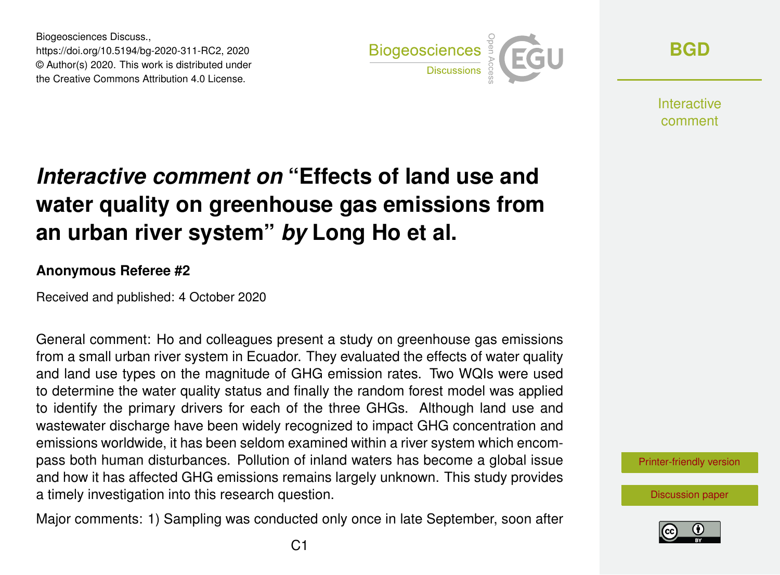Biogeosciences Discuss., https://doi.org/10.5194/bg-2020-311-RC2, 2020 © Author(s) 2020. This work is distributed under the Creative Commons Attribution 4.0 License.



**[BGD](https://bg.copernicus.org/preprints/)**

**Interactive** comment

# *Interactive comment on* **"Effects of land use and water quality on greenhouse gas emissions from an urban river system"** *by* **Long Ho et al.**

#### **Anonymous Referee #2**

Received and published: 4 October 2020

General comment: Ho and colleagues present a study on greenhouse gas emissions from a small urban river system in Ecuador. They evaluated the effects of water quality and land use types on the magnitude of GHG emission rates. Two WQIs were used to determine the water quality status and finally the random forest model was applied to identify the primary drivers for each of the three GHGs. Although land use and wastewater discharge have been widely recognized to impact GHG concentration and emissions worldwide, it has been seldom examined within a river system which encompass both human disturbances. Pollution of inland waters has become a global issue and how it has affected GHG emissions remains largely unknown. This study provides a timely investigation into this research question.

Major comments: 1) Sampling was conducted only once in late September, soon after



[Discussion paper](https://bg.copernicus.org/preprints/bg-2020-311)

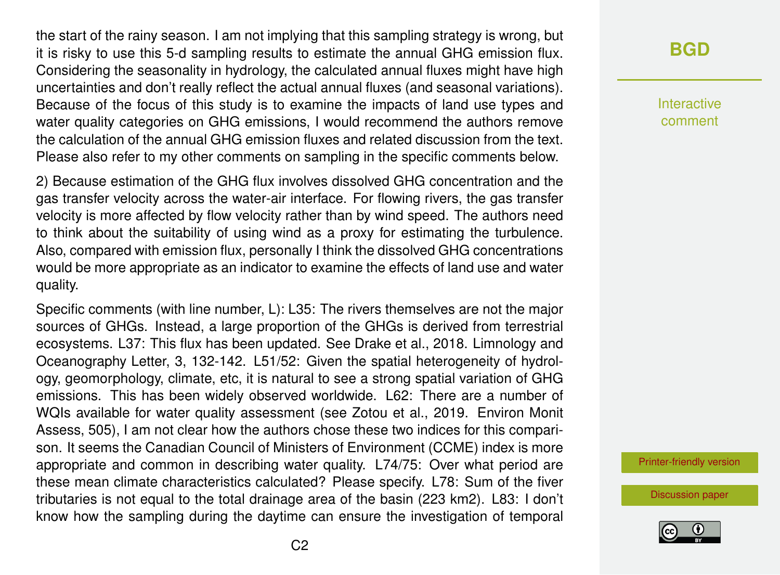the start of the rainy season. I am not implying that this sampling strategy is wrong, but it is risky to use this 5-d sampling results to estimate the annual GHG emission flux. Considering the seasonality in hydrology, the calculated annual fluxes might have high uncertainties and don't really reflect the actual annual fluxes (and seasonal variations). Because of the focus of this study is to examine the impacts of land use types and water quality categories on GHG emissions, I would recommend the authors remove the calculation of the annual GHG emission fluxes and related discussion from the text. Please also refer to my other comments on sampling in the specific comments below.

2) Because estimation of the GHG flux involves dissolved GHG concentration and the gas transfer velocity across the water-air interface. For flowing rivers, the gas transfer velocity is more affected by flow velocity rather than by wind speed. The authors need to think about the suitability of using wind as a proxy for estimating the turbulence. Also, compared with emission flux, personally I think the dissolved GHG concentrations would be more appropriate as an indicator to examine the effects of land use and water quality.

Specific comments (with line number, L): L35: The rivers themselves are not the major sources of GHGs. Instead, a large proportion of the GHGs is derived from terrestrial ecosystems. L37: This flux has been updated. See Drake et al., 2018. Limnology and Oceanography Letter, 3, 132-142. L51/52: Given the spatial heterogeneity of hydrology, geomorphology, climate, etc, it is natural to see a strong spatial variation of GHG emissions. This has been widely observed worldwide. L62: There are a number of WQIs available for water quality assessment (see Zotou et al., 2019. Environ Monit Assess, 505), I am not clear how the authors chose these two indices for this comparison. It seems the Canadian Council of Ministers of Environment (CCME) index is more appropriate and common in describing water quality. L74/75: Over what period are these mean climate characteristics calculated? Please specify. L78: Sum of the fiver tributaries is not equal to the total drainage area of the basin (223 km2). L83: I don't know how the sampling during the daytime can ensure the investigation of temporal

## **[BGD](https://bg.copernicus.org/preprints/)**

Interactive comment

[Printer-friendly version](https://bg.copernicus.org/preprints/bg-2020-311/bg-2020-311-RC2-print.pdf)

[Discussion paper](https://bg.copernicus.org/preprints/bg-2020-311)

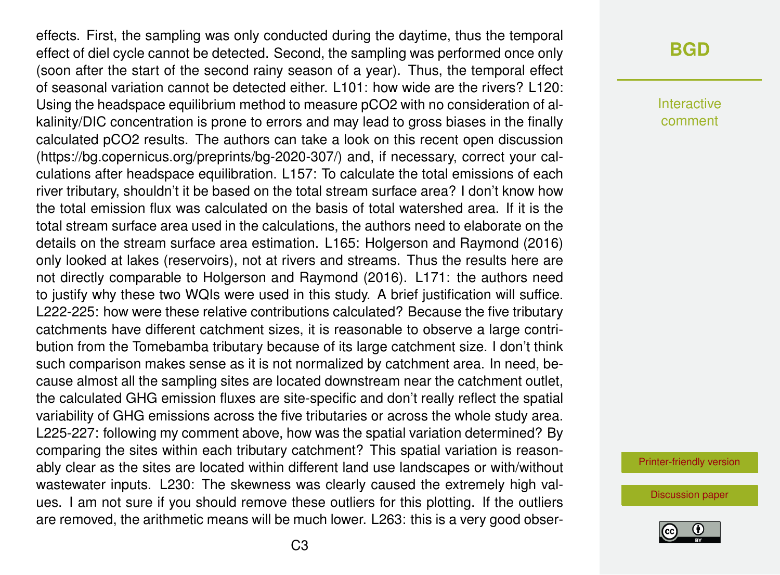effects. First, the sampling was only conducted during the daytime, thus the temporal effect of diel cycle cannot be detected. Second, the sampling was performed once only (soon after the start of the second rainy season of a year). Thus, the temporal effect of seasonal variation cannot be detected either. L101: how wide are the rivers? L120: Using the headspace equilibrium method to measure pCO2 with no consideration of alkalinity/DIC concentration is prone to errors and may lead to gross biases in the finally calculated pCO2 results. The authors can take a look on this recent open discussion (https://bg.copernicus.org/preprints/bg-2020-307/) and, if necessary, correct your calculations after headspace equilibration. L157: To calculate the total emissions of each river tributary, shouldn't it be based on the total stream surface area? I don't know how the total emission flux was calculated on the basis of total watershed area. If it is the total stream surface area used in the calculations, the authors need to elaborate on the details on the stream surface area estimation. L165: Holgerson and Raymond (2016) only looked at lakes (reservoirs), not at rivers and streams. Thus the results here are not directly comparable to Holgerson and Raymond (2016). L171: the authors need to justify why these two WQIs were used in this study. A brief justification will suffice. L222-225: how were these relative contributions calculated? Because the five tributary catchments have different catchment sizes, it is reasonable to observe a large contribution from the Tomebamba tributary because of its large catchment size. I don't think such comparison makes sense as it is not normalized by catchment area. In need, because almost all the sampling sites are located downstream near the catchment outlet, the calculated GHG emission fluxes are site-specific and don't really reflect the spatial variability of GHG emissions across the five tributaries or across the whole study area. L225-227: following my comment above, how was the spatial variation determined? By comparing the sites within each tributary catchment? This spatial variation is reasonably clear as the sites are located within different land use landscapes or with/without wastewater inputs. L230: The skewness was clearly caused the extremely high values. I am not sure if you should remove these outliers for this plotting. If the outliers are removed, the arithmetic means will be much lower. L263: this is a very good obser-

#### **[BGD](https://bg.copernicus.org/preprints/)**

Interactive comment

[Printer-friendly version](https://bg.copernicus.org/preprints/bg-2020-311/bg-2020-311-RC2-print.pdf)

[Discussion paper](https://bg.copernicus.org/preprints/bg-2020-311)